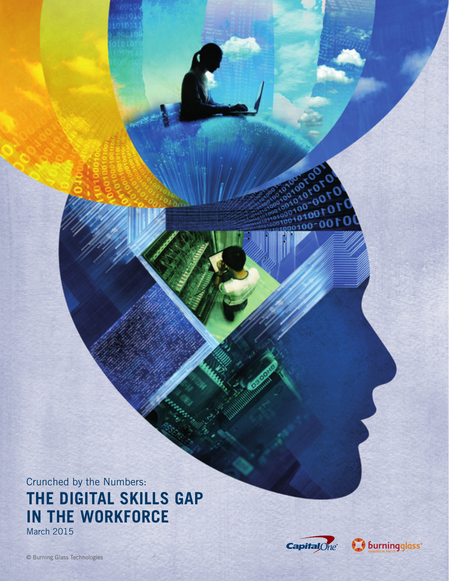Crunched by the Numbers: **THE DIGITAL SKILLS GAP IN THE WORKFORCE** March 2015



 $^{0.00}_{0.00}$  $10001001$ 

 $100$ 

αO

∩  $0100 -$ 

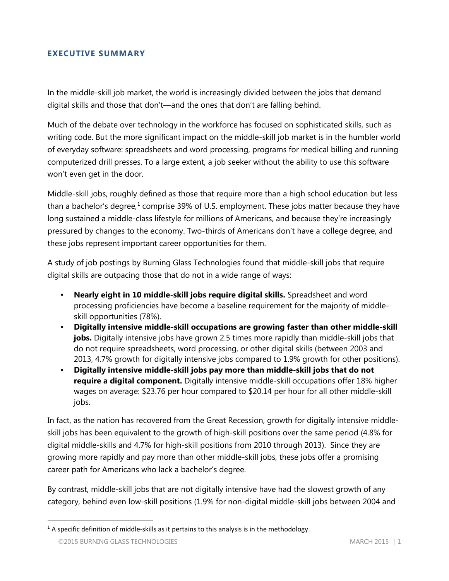#### **EXECUTIVE SUMMARY**

In the middle-skill job market, the world is increasingly divided between the jobs that demand digital skills and those that don't—and the ones that don't are falling behind.

Much of the debate over technology in the workforce has focused on sophisticated skills, such as writing code. But the more significant impact on the middle-skill job market is in the humbler world of everyday software: spreadsheets and word processing, programs for medical billing and running computerized drill presses. To a large extent, a job seeker without the ability to use this software won't even get in the door.

Middle-skill jobs, roughly defined as those that require more than a high school education but less than a bachelor's degree, $1$  comprise 39% of U.S. employment. These jobs matter because they have long sustained a middle-class lifestyle for millions of Americans, and because they're increasingly pressured by changes to the economy. Two-thirds of Americans don't have a college degree, and these jobs represent important career opportunities for them.

A study of job postings by Burning Glass Technologies found that middle-skill jobs that require digital skills are outpacing those that do not in a wide range of ways:

- **Nearly eight in 10 middle-skill jobs require digital skills.** Spreadsheet and word processing proficiencies have become a baseline requirement for the majority of middleskill opportunities (78%).
- **Digitally intensive middle-skill occupations are growing faster than other middle-skill jobs.** Digitally intensive jobs have grown 2.5 times more rapidly than middle-skill jobs that do not require spreadsheets, word processing, or other digital skills (between 2003 and 2013, 4.7% growth for digitally intensive jobs compared to 1.9% growth for other positions).
- **Digitally intensive middle-skill jobs pay more than middle-skill jobs that do not require a digital component.** Digitally intensive middle-skill occupations offer 18% higher wages on average: \$23.76 per hour compared to \$20.14 per hour for all other middle-skill jobs.

In fact, as the nation has recovered from the Great Recession, growth for digitally intensive middleskill jobs has been equivalent to the growth of high-skill positions over the same period (4.8% for digital middle-skills and 4.7% for high-skill positions from 2010 through 2013). Since they are growing more rapidly and pay more than other middle-skill jobs, these jobs offer a promising career path for Americans who lack a bachelor's degree.

By contrast, middle-skill jobs that are not digitally intensive have had the slowest growth of any category, behind even low-skill positions (1.9% for non-digital middle-skill jobs between 2004 and

<span id="page-1-0"></span> $1$  A specific definition of middle-skills as it pertains to this analysis is in the methodology.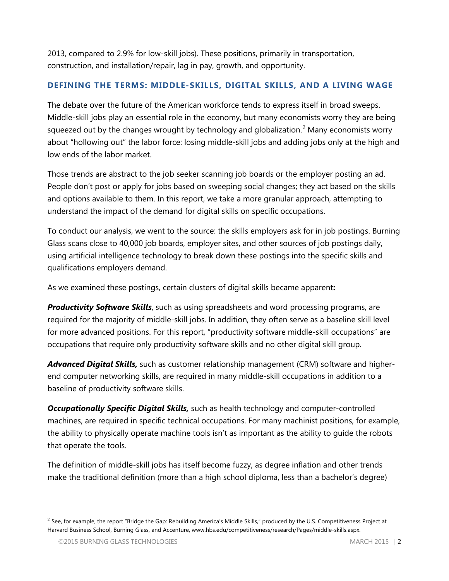2013, compared to 2.9% for low-skill jobs). These positions, primarily in transportation, construction, and installation/repair, lag in pay, growth, and opportunity.

## **DEFINING THE TERMS: MIDDLE-SKILLS, DIGITAL SKILLS, AND A LIVING WAGE**

The debate over the future of the American workforce tends to express itself in broad sweeps. Middle-skill jobs play an essential role in the economy, but many economists worry they are being squeezed out by the changes wrought by technology and globalization.<sup>[2](#page-2-0)</sup> Many economists worry about "hollowing out" the labor force: losing middle-skill jobs and adding jobs only at the high and low ends of the labor market.

Those trends are abstract to the job seeker scanning job boards or the employer posting an ad. People don't post or apply for jobs based on sweeping social changes; they act based on the skills and options available to them. In this report, we take a more granular approach, attempting to understand the impact of the demand for digital skills on specific occupations.

To conduct our analysis, we went to the source: the skills employers ask for in job postings. Burning Glass scans close to 40,000 job boards, employer sites, and other sources of job postings daily, using artificial intelligence technology to break down these postings into the specific skills and qualifications employers demand.

As we examined these postings, certain clusters of digital skills became apparent**:**

**Productivity Software Skills**, such as using spreadsheets and word processing programs, are required for the majority of middle-skill jobs. In addition, they often serve as a baseline skill level for more advanced positions. For this report, "productivity software middle-skill occupations" are occupations that require only productivity software skills and no other digital skill group.

*Advanced Digital Skills,* such as customer relationship management (CRM) software and higherend computer networking skills, are required in many middle-skill occupations in addition to a baseline of productivity software skills.

*Occupationally Specific Digital Skills,* such as health technology and computer-controlled machines, are required in specific technical occupations. For many machinist positions, for example, the ability to physically operate machine tools isn't as important as the ability to guide the robots that operate the tools.

The definition of middle-skill jobs has itself become fuzzy, as degree inflation and other trends make the traditional definition (more than a high school diploma, less than a bachelor's degree)

<span id="page-2-0"></span><sup>&</sup>lt;sup>2</sup> See, for example, the report "Bridge the Gap: Rebuilding America's Middle Skills," produced by the U.S. Competitiveness Project at Harvard Business School, Burning Glass, and Accenture, www.hbs.edu/competitiveness/research/Pages/middle-skills.aspx.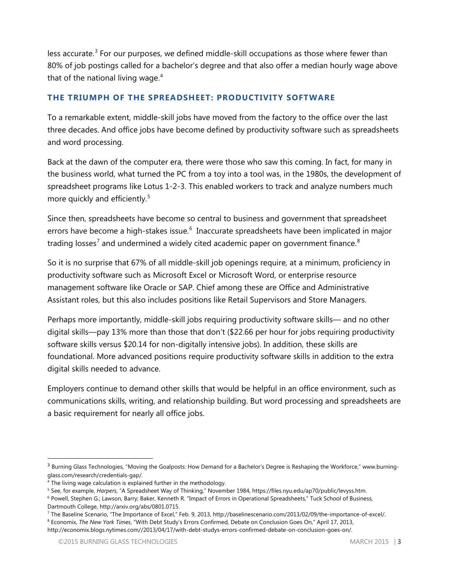less accurate.<sup>[3](#page-3-0)</sup> For our purposes, we defined middle-skill occupations as those where fewer than 80% of job postings called for a bachelor's degree and that also offer a median hourly wage above that of the national living wage. $4$ 

## **THE TRIUMPH OF THE SPREADSHEET: PRODUCTIVITY SOFTWARE**

To a remarkable extent, middle-skill jobs have moved from the factory to the office over the last three decades. And office jobs have become defined by productivity software such as spreadsheets and word processing.

Back at the dawn of the computer era, there were those who saw this coming. In fact, for many in the business world, what turned the PC from a toy into a tool was, in the 1980s, the development of spreadsheet programs like Lotus 1-2-3. This enabled workers to track and analyze numbers much more quickly and efficiently.<sup>[5](#page-3-2)</sup>

Since then, spreadsheets have become so central to business and government that spreadsheet errors have become a high-stakes issue.<sup>[6](#page-3-3)</sup> Inaccurate spreadsheets have been implicated in major trading losses<sup>[7](#page-3-4)</sup> and undermined a widely cited academic paper on government finance.<sup>[8](#page-3-5)</sup>

So it is no surprise that 67% of all middle-skill job openings require, at a minimum, proficiency in productivity software such as Microsoft Excel or Microsoft Word, or enterprise resource management software like Oracle or SAP. Chief among these are Office and Administrative Assistant roles, but this also includes positions like Retail Supervisors and Store Managers.

Perhaps more importantly, middle-skill jobs requiring productivity software skills— and no other digital skills—pay 13% more than those that don't (\$22.66 per hour for jobs requiring productivity software skills versus \$20.14 for non-digitally intensive jobs). In addition, these skills are foundational. More advanced positions require productivity software skills in addition to the extra digital skills needed to advance.

Employers continue to demand other skills that would be helpful in an office environment, such as communications skills, writing, and relationship building. But word processing and spreadsheets are a basic requirement for nearly all office jobs.

<span id="page-3-0"></span><sup>&</sup>lt;sup>3</sup> Burning Glass Technologies, "Moving the Goalposts: How Demand for a Bachelor's Degree is Reshaping the Workforce," www.burningglass.com/research/credentials-gap/.

<span id="page-3-1"></span><sup>&</sup>lt;sup>4</sup> The living wage calculation is explained further in the methodology.

<span id="page-3-2"></span><sup>5</sup> See, for example, *Harpers*, "A Spreadsheet Way of Thinking," November 1984, https://files.nyu.edu/ap70/public/levyss.htm.

<span id="page-3-3"></span><sup>&</sup>lt;sup>6</sup> Powell, Stephen G.; Lawson, Barry; Baker, Kenneth R. "Impact of Errors in Operational Spreadsheets," Tuck School of Business, Dartmouth College, http://arxiv.org/abs/0801.0715.

<span id="page-3-4"></span><sup>7</sup> The Baseline Scenario, "The Importance of Excel," Feb. 9, 2013, http://baselinescenario.com/2013/02/09/the-importance-of-excel/.

<span id="page-3-5"></span><sup>8</sup> Economix, *The New York Times*, "With Debt Study's Errors Confirmed, Debate on Conclusion Goes On," April 17, 2013, http://economix.blogs.nytimes.com//2013/04/17/with-debt-studys-errors-confirmed-debate-on-conclusion-goes-on/.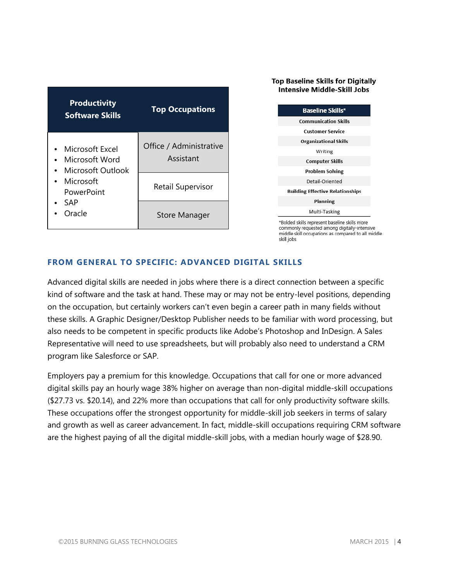| <b>Productivity</b><br><b>Software Skills</b>                                                      | <b>Top Occupations</b>               |
|----------------------------------------------------------------------------------------------------|--------------------------------------|
| Microsoft Excel<br>Microsoft Word<br>Microsoft Outlook<br>Microsoft<br>PowerPoint<br>SAP<br>Oracle | Office / Administrative<br>Assistant |
|                                                                                                    | Retail Supervisor                    |
|                                                                                                    | Store Manager                        |

#### **Top Baseline Skills for Digitally Intensive Middle-Skill Jobs**



commonly requested among digitally-intensive middle skill occupations as compared to all middle skill iobs

## **FROM GENERAL TO SPECIFIC: ADVANCED DIGITAL SKILLS**

Advanced digital skills are needed in jobs where there is a direct connection between a specific kind of software and the task at hand. These may or may not be entry-level positions, depending on the occupation, but certainly workers can't even begin a career path in many fields without these skills. A Graphic Designer/Desktop Publisher needs to be familiar with word processing, but also needs to be competent in specific products like Adobe's Photoshop and InDesign. A Sales Representative will need to use spreadsheets, but will probably also need to understand a CRM program like Salesforce or SAP.

Employers pay a premium for this knowledge. Occupations that call for one or more advanced digital skills pay an hourly wage 38% higher on average than non-digital middle-skill occupations (\$27.73 vs. \$20.14), and 22% more than occupations that call for only productivity software skills. These occupations offer the strongest opportunity for middle-skill job seekers in terms of salary and growth as well as career advancement. In fact, middle-skill occupations requiring CRM software are the highest paying of all the digital middle-skill jobs, with a median hourly wage of \$28.90.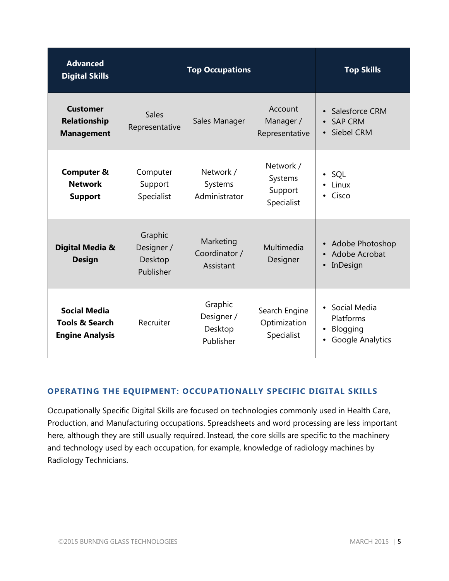| <b>Advanced</b><br><b>Digital Skills</b>                                   | <b>Top Occupations</b>                        | <b>Top Skills</b>                             |                                               |                                                                               |
|----------------------------------------------------------------------------|-----------------------------------------------|-----------------------------------------------|-----------------------------------------------|-------------------------------------------------------------------------------|
| <b>Customer</b><br><b>Relationship</b><br><b>Management</b>                | <b>Sales</b><br>Representative                | Sales Manager                                 | Account<br>Manager /<br>Representative        | Salesforce CRM<br><b>SAP CRM</b><br>$\bullet$<br>Siebel CRM<br>$\bullet$      |
| <b>Computer &amp;</b><br><b>Network</b><br><b>Support</b>                  | Computer<br>Support<br>Specialist             | Network /<br>Systems<br>Administrator         | Network /<br>Systems<br>Support<br>Specialist | SQL<br>Linux<br>Cisco<br>$\bullet$                                            |
| Digital Media &<br><b>Design</b>                                           | Graphic<br>Designer /<br>Desktop<br>Publisher | Marketing<br>Coordinator /<br>Assistant       | Multimedia<br>Designer                        | <b>Adobe Photoshop</b><br>$\bullet$<br>Adobe Acrobat<br>InDesign<br>$\bullet$ |
| <b>Social Media</b><br><b>Tools &amp; Search</b><br><b>Engine Analysis</b> | Recruiter                                     | Graphic<br>Designer /<br>Desktop<br>Publisher | Search Engine<br>Optimization<br>Specialist   | • Social Media<br>Platforms<br>Blogging<br>Google Analytics                   |

## **OPERATING THE EQUIPMENT: OCCUPATIONALLY SPECIFIC DIGITAL SKILLS**

Occupationally Specific Digital Skills are focused on technologies commonly used in Health Care, Production, and Manufacturing occupations. Spreadsheets and word processing are less important here, although they are still usually required. Instead, the core skills are specific to the machinery and technology used by each occupation, for example, knowledge of radiology machines by Radiology Technicians.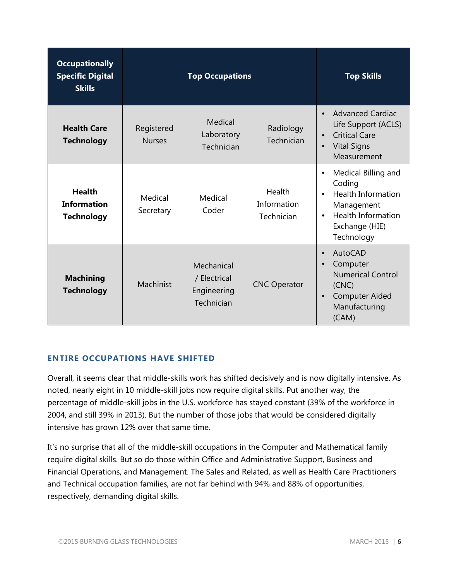| <b>Occupationally</b><br><b>Specific Digital</b><br><b>Skills</b> |                             | <b>Top Skills</b>                                       |                                     |                                                                                                                                                                 |
|-------------------------------------------------------------------|-----------------------------|---------------------------------------------------------|-------------------------------------|-----------------------------------------------------------------------------------------------------------------------------------------------------------------|
| <b>Health Care</b><br><b>Technology</b>                           | Registered<br><b>Nurses</b> | Medical<br>Laboratory<br>Technician                     | Radiology<br>Technician             | <b>Advanced Cardiac</b><br>Life Support (ACLS)<br><b>Critical Care</b><br>$\bullet$<br><b>Vital Signs</b><br>$\bullet$<br>Measurement                           |
| <b>Health</b><br><b>Information</b><br><b>Technology</b>          | Medical<br>Secretary        | Medical<br>Coder                                        | Health<br>Information<br>Technician | Medical Billing and<br>$\bullet$<br>Coding<br><b>Health Information</b><br>Management<br><b>Health Information</b><br>$\bullet$<br>Exchange (HIE)<br>Technology |
| <b>Machining</b><br><b>Technology</b>                             | Machinist                   | Mechanical<br>/ Electrical<br>Engineering<br>Technician | <b>CNC Operator</b>                 | AutoCAD<br>Computer<br><b>Numerical Control</b><br>(CNC)<br><b>Computer Aided</b><br>Manufacturing<br>(CAM)                                                     |

### **ENTIRE OCCUPATIONS HAVE SHIFTED**

Overall, it seems clear that middle-skills work has shifted decisively and is now digitally intensive. As noted, nearly eight in 10 middle-skill jobs now require digital skills. Put another way, the percentage of middle-skill jobs in the U.S. workforce has stayed constant (39% of the workforce in 2004, and still 39% in 2013). But the number of those jobs that would be considered digitally intensive has grown 12% over that same time.

It's no surprise that all of the middle-skill occupations in the Computer and Mathematical family require digital skills. But so do those within Office and Administrative Support, Business and Financial Operations, and Management. The Sales and Related, as well as Health Care Practitioners and Technical occupation families, are not far behind with 94% and 88% of opportunities, respectively, demanding digital skills.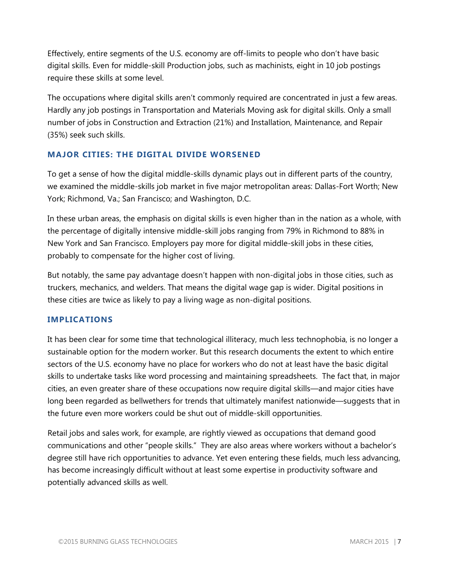Effectively, entire segments of the U.S. economy are off-limits to people who don't have basic digital skills. Even for middle-skill Production jobs, such as machinists, eight in 10 job postings require these skills at some level.

The occupations where digital skills aren't commonly required are concentrated in just a few areas. Hardly any job postings in Transportation and Materials Moving ask for digital skills. Only a small number of jobs in Construction and Extraction (21%) and Installation, Maintenance, and Repair (35%) seek such skills.

### **MAJOR CITIES: THE DIGITAL DIVIDE WORSENED**

To get a sense of how the digital middle-skills dynamic plays out in different parts of the country, we examined the middle-skills job market in five major metropolitan areas: Dallas-Fort Worth; New York; Richmond, Va.; San Francisco; and Washington, D.C.

In these urban areas, the emphasis on digital skills is even higher than in the nation as a whole, with the percentage of digitally intensive middle-skill jobs ranging from 79% in Richmond to 88% in New York and San Francisco. Employers pay more for digital middle-skill jobs in these cities, probably to compensate for the higher cost of living.

But notably, the same pay advantage doesn't happen with non-digital jobs in those cities, such as truckers, mechanics, and welders. That means the digital wage gap is wider. Digital positions in these cities are twice as likely to pay a living wage as non-digital positions.

### **IMPLICATIONS**

It has been clear for some time that technological illiteracy, much less technophobia, is no longer a sustainable option for the modern worker. But this research documents the extent to which entire sectors of the U.S. economy have no place for workers who do not at least have the basic digital skills to undertake tasks like word processing and maintaining spreadsheets. The fact that, in major cities, an even greater share of these occupations now require digital skills—and major cities have long been regarded as bellwethers for trends that ultimately manifest nationwide—suggests that in the future even more workers could be shut out of middle-skill opportunities.

Retail jobs and sales work, for example, are rightly viewed as occupations that demand good communications and other "people skills." They are also areas where workers without a bachelor's degree still have rich opportunities to advance. Yet even entering these fields, much less advancing, has become increasingly difficult without at least some expertise in productivity software and potentially advanced skills as well.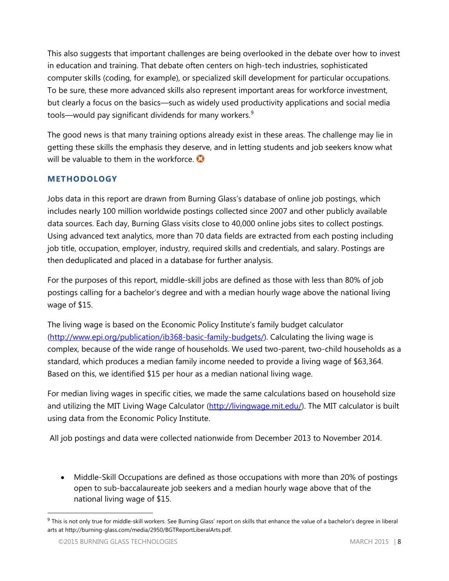This also suggests that important challenges are being overlooked in the debate over how to invest in education and training. That debate often centers on high-tech industries, sophisticated computer skills (coding, for example), or specialized skill development for particular occupations. To be sure, these more advanced skills also represent important areas for workforce investment, but clearly a focus on the basics—such as widely used productivity applications and social media tools—would pay significant dividends for many workers. $9$ 

The good news is that many training options already exist in these areas. The challenge may lie in getting these skills the emphasis they deserve, and in letting students and job seekers know what will be valuable to them in the workforce.

## **METHODOLOGY**

Jobs data in this report are drawn from Burning Glass's database of online job postings, which includes nearly 100 million worldwide postings collected since 2007 and other publicly available data sources. Each day, Burning Glass visits close to 40,000 online jobs sites to collect postings. Using advanced text analytics, more than 70 data fields are extracted from each posting including job title, occupation, employer, industry, required skills and credentials, and salary. Postings are then deduplicated and placed in a database for further analysis.

For the purposes of this report, middle-skill jobs are defined as those with less than 80% of job postings calling for a bachelor's degree and with a median hourly wage above the national living wage of \$15.

The living wage is based on the Economic Policy Institute's family budget calculator [\(http://www.epi.org/publication/ib368-basic-family-budgets/\)](http://www.epi.org/publication/ib368-basic-family-budgets/). Calculating the living wage is complex, because of the wide range of households. We used two-parent, two-child households as a standard, which produces a median family income needed to provide a living wage of \$63,364. Based on this, we identified \$15 per hour as a median national living wage.

For median living wages in specific cities, we made the same calculations based on household size and utilizing the MIT Living Wage Calculator [\(http://livingwage.mit.edu/\)](http://livingwage.mit.edu/). The MIT calculator is built using data from the Economic Policy Institute.

All job postings and data were collected nationwide from December 2013 to November 2014.

• Middle-Skill Occupations are defined as those occupations with more than 20% of postings open to sub-baccalaureate job seekers and a median hourly wage above that of the national living wage of \$15.

<span id="page-8-0"></span><sup>&</sup>lt;sup>9</sup> This is not only true for middle-skill workers. See Burning Glass' report on skills that enhance the value of a bachelor's degree in liberal arts at http://burning-glass.com/media/2950/BGTReportLiberalArts.pdf.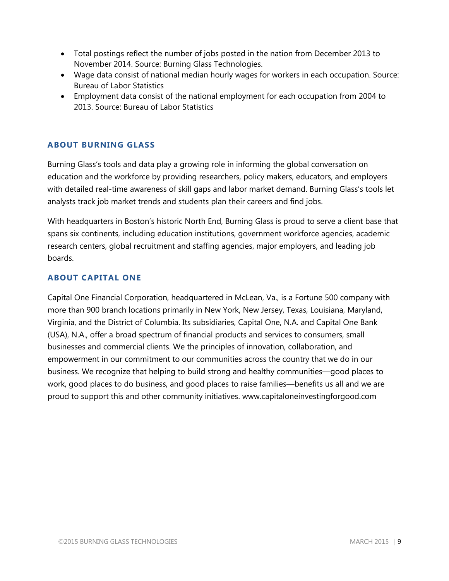- Total postings reflect the number of jobs posted in the nation from December 2013 to November 2014. Source: Burning Glass Technologies.
- Wage data consist of national median hourly wages for workers in each occupation. Source: Bureau of Labor Statistics
- Employment data consist of the national employment for each occupation from 2004 to 2013. Source: Bureau of Labor Statistics

## **ABOUT BURNING GLASS**

Burning Glass's tools and data play a growing role in informing the global conversation on education and the workforce by providing researchers, policy makers, educators, and employers with detailed real-time awareness of skill gaps and labor market demand. Burning Glass's tools let analysts track job market trends and students plan their careers and find jobs.

With headquarters in Boston's historic North End, Burning Glass is proud to serve a client base that spans six continents, including education institutions, government workforce agencies, academic research centers, global recruitment and staffing agencies, major employers, and leading job boards.

#### **ABOUT CAPITAL ONE**

Capital One Financial Corporation, headquartered in McLean, Va., is a Fortune 500 company with more than 900 branch locations primarily in New York, New Jersey, Texas, Louisiana, Maryland, Virginia, and the District of Columbia. Its subsidiaries, Capital One, N.A. and Capital One Bank (USA), N.A., offer a broad spectrum of financial products and services to consumers, small businesses and commercial clients. We the principles of innovation, collaboration, and empowerment in our commitment to our communities across the country that we do in our business. We recognize that helping to build strong and healthy communities—good places to work, good places to do business, and good places to raise families—benefits us all and we are proud to support this and other community initiatives. www.capitaloneinvestingforgood.com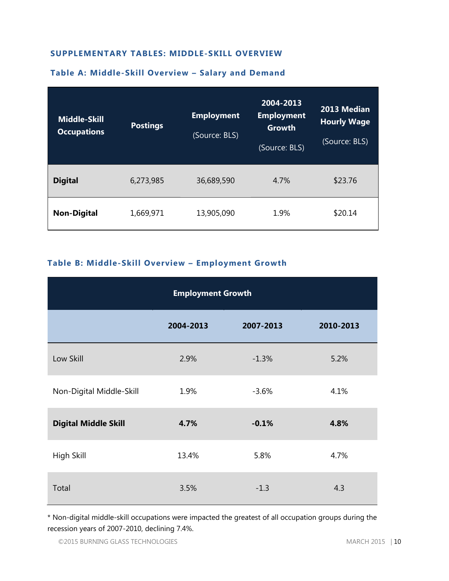#### **SUPPLEMENTARY TABLES: MIDDLE-SKILL OVERVIEW**

# **Middle-Skill Occupations Postings Employment** (Source: BLS) **2004-2013 Employment Growth** (Source: BLS) **2013 Median Hourly Wage** (Source: BLS) **Digital** 6,273,985 36,689,590 4.7% \$23.76 **Non-Digital** 1,669,971 13,905,090 1.9% \$20.14

#### **Table A: Middle-Skill Overview – Salary and Demand**

#### **Table B: Middle-Skill Overview – Employment Growth**

| <b>Employment Growth</b>            |       |         |      |  |  |  |  |  |
|-------------------------------------|-------|---------|------|--|--|--|--|--|
| 2004-2013<br>2007-2013<br>2010-2013 |       |         |      |  |  |  |  |  |
| Low Skill                           | 2.9%  | $-1.3%$ | 5.2% |  |  |  |  |  |
| Non-Digital Middle-Skill            | 1.9%  | $-3.6%$ | 4.1% |  |  |  |  |  |
| <b>Digital Middle Skill</b>         | 4.7%  | $-0.1%$ | 4.8% |  |  |  |  |  |
| High Skill                          | 13.4% | 5.8%    | 4.7% |  |  |  |  |  |
| Total                               | 3.5%  | $-1.3$  | 4.3  |  |  |  |  |  |

\* Non-digital middle-skill occupations were impacted the greatest of all occupation groups during the recession years of 2007-2010, declining 7.4%.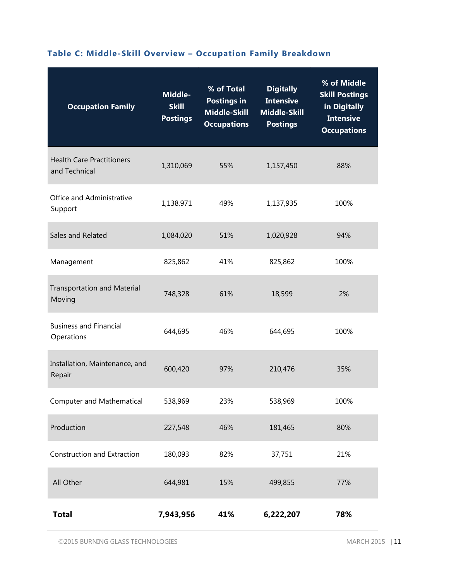# **Table C: Middle-Skill Overview – Occupation Family Breakdown**

| <b>Occupation Family</b>                          | Middle-<br><b>Skill</b><br><b>Postings</b> | % of Total<br><b>Postings in</b><br><b>Middle-Skill</b><br><b>Occupations</b> | <b>Digitally</b><br><b>Intensive</b><br><b>Middle-Skill</b><br><b>Postings</b> | % of Middle<br><b>Skill Postings</b><br>in Digitally<br><b>Intensive</b><br><b>Occupations</b> |
|---------------------------------------------------|--------------------------------------------|-------------------------------------------------------------------------------|--------------------------------------------------------------------------------|------------------------------------------------------------------------------------------------|
| <b>Health Care Practitioners</b><br>and Technical | 1,310,069                                  | 55%                                                                           | 1,157,450                                                                      | 88%                                                                                            |
| Office and Administrative<br>Support              | 1,138,971                                  | 49%                                                                           | 1,137,935                                                                      |                                                                                                |
| Sales and Related                                 | 1,084,020                                  | 51%                                                                           | 1,020,928                                                                      | 94%                                                                                            |
| Management                                        | 825,862                                    | 41%<br>825,862                                                                |                                                                                | 100%                                                                                           |
| <b>Transportation and Material</b><br>Moving      | 748,328                                    | 61%<br>18,599                                                                 |                                                                                | 2%                                                                                             |
| <b>Business and Financial</b><br>Operations       | 644,695                                    | 46%<br>644,695                                                                |                                                                                | 100%                                                                                           |
| Installation, Maintenance, and<br>Repair          | 600,420                                    | 97%<br>210,476                                                                |                                                                                | 35%                                                                                            |
| Computer and Mathematical                         | 538,969                                    | 23%<br>538,969                                                                |                                                                                | 100%                                                                                           |
| Production                                        | 227,548                                    | 46%                                                                           | 181,465                                                                        | 80%                                                                                            |
| Construction and Extraction                       | 180,093                                    | 82%                                                                           | 37,751                                                                         | 21%                                                                                            |
| All Other                                         | 644,981                                    | 15%                                                                           | 499,855                                                                        | 77%                                                                                            |
| <b>Total</b>                                      | 7,943,956                                  | 41%                                                                           | 6,222,207                                                                      | 78%                                                                                            |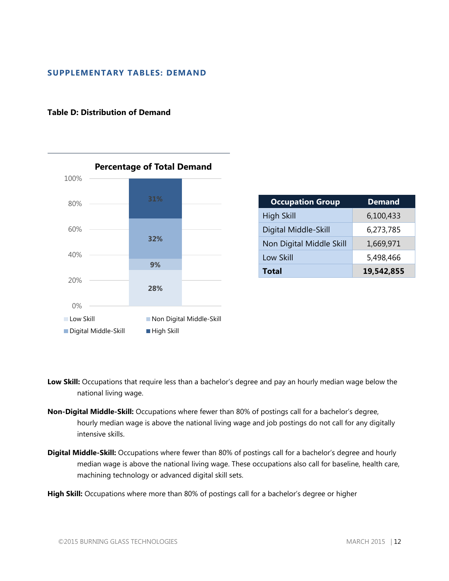#### **SUPPLEMENTARY TABLES: DEMAND**

#### **Table D: Distribution of Demand**



| <b>Occupation Group</b>  | <b>Demand</b> |
|--------------------------|---------------|
| <b>High Skill</b>        | 6,100,433     |
| Digital Middle-Skill     | 6,273,785     |
| Non Digital Middle Skill | 1,669,971     |
| Low Skill                | 5,498,466     |
| <b>Total</b>             | 19,542,855    |

- **Low Skill:** Occupations that require less than a bachelor's degree and pay an hourly median wage below the national living wage.
- **Non-Digital Middle-Skill:** Occupations where fewer than 80% of postings call for a bachelor's degree, hourly median wage is above the national living wage and job postings do not call for any digitally intensive skills.
- **Digital Middle-Skill:** Occupations where fewer than 80% of postings call for a bachelor's degree and hourly median wage is above the national living wage. These occupations also call for baseline, health care, machining technology or advanced digital skill sets.

**High Skill:** Occupations where more than 80% of postings call for a bachelor's degree or higher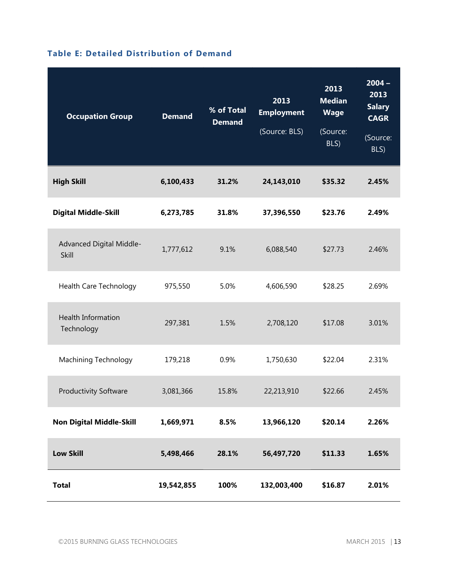|  | <b>Table E: Detailed Distribution of Demand</b> |  |
|--|-------------------------------------------------|--|
|  |                                                 |  |

| <b>Occupation Group</b>                 | <b>Demand</b> | % of Total<br><b>Demand</b> | 2013<br><b>Employment</b><br>(Source: BLS) | 2013<br><b>Median</b><br><b>Wage</b><br>(Source:<br>BLS) | $2004 -$<br>2013<br><b>Salary</b><br><b>CAGR</b><br>(Source:<br>BLS) |
|-----------------------------------------|---------------|-----------------------------|--------------------------------------------|----------------------------------------------------------|----------------------------------------------------------------------|
| <b>High Skill</b>                       | 6,100,433     | 31.2%                       | 24,143,010                                 | \$35.32                                                  | 2.45%                                                                |
| <b>Digital Middle-Skill</b>             | 6,273,785     | 31.8%                       | 37,396,550                                 | \$23.76                                                  | 2.49%                                                                |
| Advanced Digital Middle-<br>Skill       | 1,777,612     | 9.1%                        | 6,088,540                                  | \$27.73                                                  | 2.46%                                                                |
| Health Care Technology                  | 975,550       | 5.0%                        | 4,606,590                                  | \$28.25                                                  | 2.69%                                                                |
| <b>Health Information</b><br>Technology | 297,381       | 1.5%                        | 2,708,120                                  | \$17.08                                                  | 3.01%                                                                |
| <b>Machining Technology</b>             | 179,218       | 0.9%                        | 1,750,630                                  | \$22.04                                                  | 2.31%                                                                |
| <b>Productivity Software</b>            | 3,081,366     | 15.8%                       | 22,213,910                                 | \$22.66                                                  | 2.45%                                                                |
| <b>Non Digital Middle-Skill</b>         | 1,669,971     | 8.5%                        | 13,966,120                                 | \$20.14                                                  | 2.26%                                                                |
| <b>Low Skill</b>                        | 5,498,466     | 28.1%                       | 56,497,720                                 | \$11.33                                                  | 1.65%                                                                |
| <b>Total</b>                            | 19,542,855    | 100%                        | 132,003,400                                | \$16.87                                                  | 2.01%                                                                |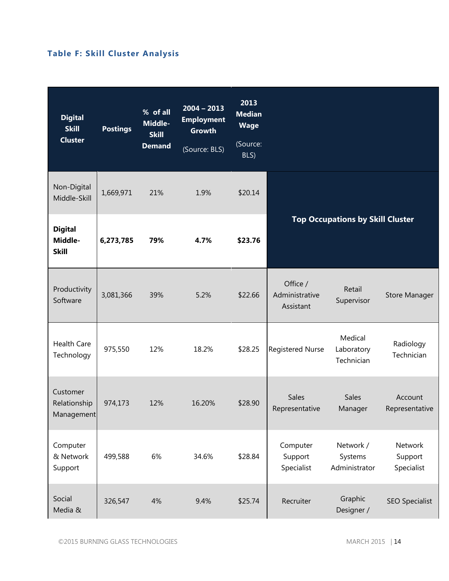# **Table F: Skill Cluster Analysis**

| <b>Digital</b><br><b>Skill</b><br><b>Cluster</b> | <b>Postings</b> | % of all<br>Middle-<br><b>Skill</b><br><b>Demand</b> | $2004 - 2013$<br><b>Employment</b><br><b>Growth</b><br>(Source: BLS) | 2013<br><b>Median</b><br><b>Wage</b><br>(Source:<br>BLS) |                                         |                                       |                                  |  |
|--------------------------------------------------|-----------------|------------------------------------------------------|----------------------------------------------------------------------|----------------------------------------------------------|-----------------------------------------|---------------------------------------|----------------------------------|--|
| Non-Digital<br>Middle-Skill                      | 1,669,971       | 21%                                                  | 1.9%                                                                 | \$20.14                                                  |                                         |                                       |                                  |  |
| <b>Digital</b><br>Middle-<br><b>Skill</b>        | 6,273,785       | 79%                                                  | 4.7%                                                                 | \$23.76                                                  | <b>Top Occupations by Skill Cluster</b> |                                       |                                  |  |
| Productivity<br>Software                         | 3,081,366       | 39%                                                  | 5.2%                                                                 | \$22.66                                                  | Office /<br>Administrative<br>Assistant | Retail<br>Supervisor                  | <b>Store Manager</b>             |  |
| <b>Health Care</b><br>Technology                 | 975,550         | 12%                                                  | 18.2%                                                                | \$28.25                                                  | <b>Registered Nurse</b>                 | Medical<br>Laboratory<br>Technician   | Radiology<br>Technician          |  |
| Customer<br>Relationship<br>Management           | 974,173         | 12%                                                  | 16.20%                                                               | \$28.90                                                  | Sales<br>Representative                 | Sales<br>Manager                      | Account<br>Representative        |  |
| Computer<br>& Network<br>Support                 | 499,588         | 6%                                                   | 34.6%                                                                | \$28.84                                                  | Computer<br>Support<br>Specialist       | Network /<br>Systems<br>Administrator | Network<br>Support<br>Specialist |  |
| Social<br>Media &                                | 326,547         | 4%                                                   | 9.4%                                                                 | \$25.74                                                  | Recruiter                               | Graphic<br>Designer /                 | <b>SEO Specialist</b>            |  |